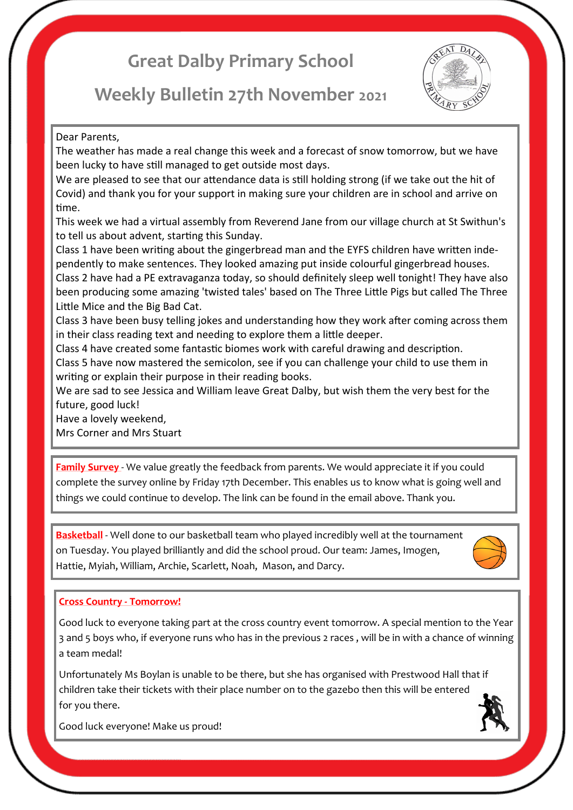# **Great Dalby Primary School**

# **Weekly Bulletin 27th November 2021**



Dear Parents,

The weather has made a real change this week and a forecast of snow tomorrow, but we have been lucky to have still managed to get outside most days.

We are pleased to see that our attendance data is still holding strong (if we take out the hit of Covid) and thank you for your support in making sure your children are in school and arrive on time.

This week we had a virtual assembly from Reverend Jane from our village church at St Swithun's to tell us about advent, starting this Sunday.

Class 1 have been writing about the gingerbread man and the EYFS children have written independently to make sentences. They looked amazing put inside colourful gingerbread houses.

Class 2 have had a PE extravaganza today, so should definitely sleep well tonight! They have also been producing some amazing 'twisted tales' based on The Three Little Pigs but called The Three Little Mice and the Big Bad Cat.

Class 3 have been busy telling jokes and understanding how they work after coming across them in their class reading text and needing to explore them a little deeper.

Class 4 have created some fantastic biomes work with careful drawing and description.

Class 5 have now mastered the semicolon, see if you can challenge your child to use them in writing or explain their purpose in their reading books.

We are sad to see Jessica and William leave Great Dalby, but wish them the very best for the future, good luck!

Have a lovely weekend,

Mrs Corner and Mrs Stuart

**Family Survey** - We value greatly the feedback from parents. We would appreciate it if you could complete the survey online by Friday 17th December. This enables us to know what is going well and things we could continue to develop. The link can be found in the email above. Thank you.

**Basketball** - Well done to our basketball team who played incredibly well at the tournament on Tuesday. You played brilliantly and did the school proud. Our team: James, Imogen, Hattie, Myiah, William, Archie, Scarlett, Noah, Mason, and Darcy.



# **Cross Country - Tomorrow!**

Good luck to everyone taking part at the cross country event tomorrow. A special mention to the Year 3 and 5 boys who, if everyone runs who has in the previous 2 races , will be in with a chance of winning a team medal!

Unfortunately Ms Boylan is unable to be there, but she has organised with Prestwood Hall that if children take their tickets with their place number on to the gazebo then this will be entered for you there.



Good luck everyone! Make us proud!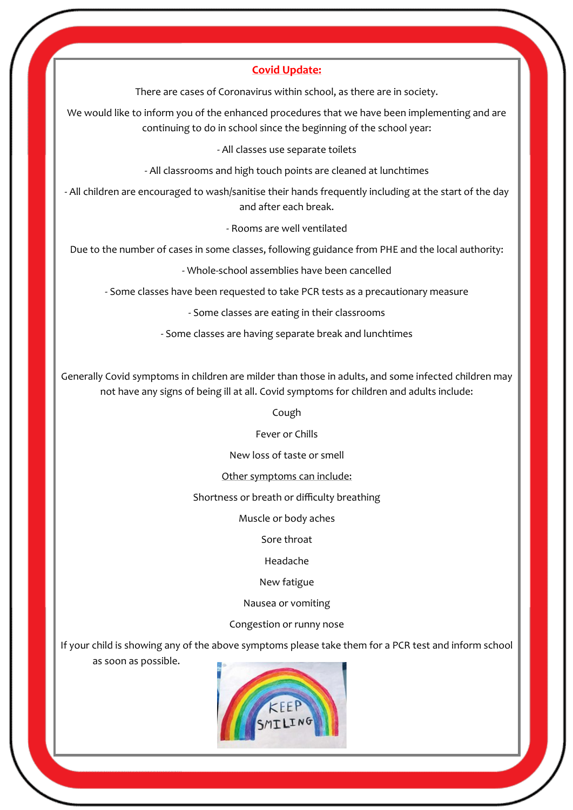### **Covid Update:**

There are cases of Coronavirus within school, as there are in society.

We would like to inform you of the enhanced procedures that we have been implementing and are continuing to do in school since the beginning of the school year:

#### - All classes use separate toilets

- All classrooms and high touch points are cleaned at lunchtimes

- All children are encouraged to wash/sanitise their hands frequently including at the start of the day and after each break.

- Rooms are well ventilated

Due to the number of cases in some classes, following guidance from PHE and the local authority:

- Whole-school assemblies have been cancelled

- Some classes have been requested to take PCR tests as a precautionary measure

- Some classes are eating in their classrooms

- Some classes are having separate break and lunchtimes

Generally Covid symptoms in children are milder than those in adults, and some infected children may not have any signs of being ill at all. Covid symptoms for children and adults include:

Cough

Fever or Chills

New loss of taste or smell

Other symptoms can include:

Shortness or breath or difficulty breathing

Muscle or body aches

Sore throat

Headache

New fatigue

Nausea or vomiting

Congestion or runny nose

If your child is showing any of the above symptoms please take them for a PCR test and inform school

as soon as possible.